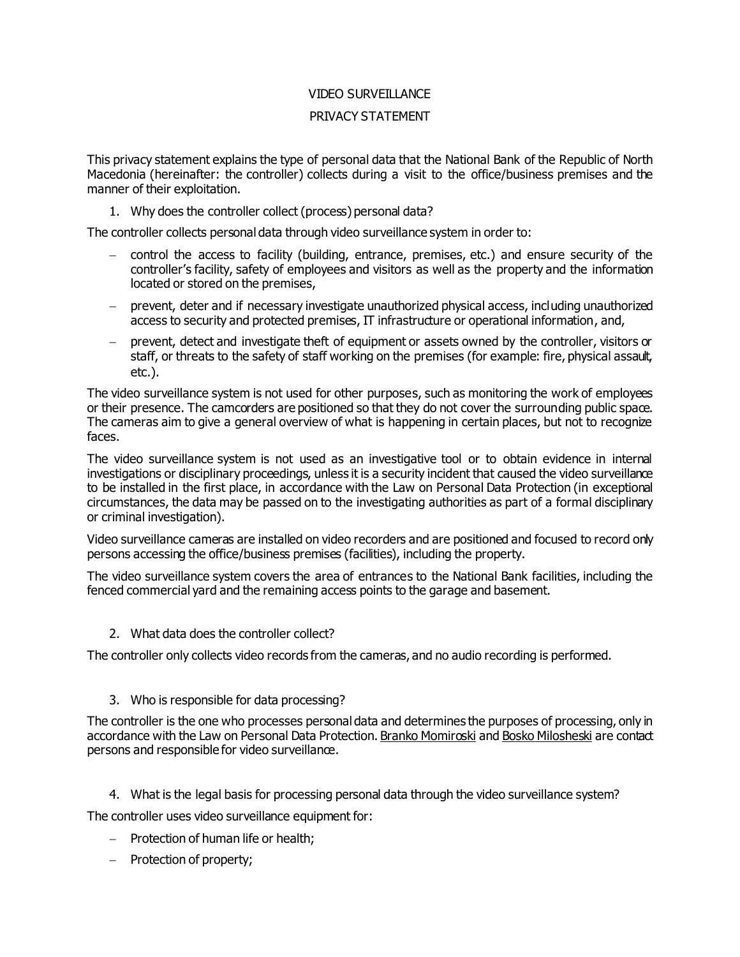# VIDEO SURVEILLANCE

# PRIVACY STATEMENT

This privacy statement explains the type of personal data that the National Bank of the Republic of North Macedonia (hereinafter: the controller) collects during a visit to the office/business premises and the manner of their exploitation.

1. Why does the controller collect (process) personal data?

The controller collects personal data through video surveillance system in order to:

- control the access to facility (building, entrance, premises, etc.) and ensure security of the controller's facility, safety of employees and visitors as well as the property and the information located or stored on the premises,
- prevent, deter and if necessary investigate unauthorized physical access, including unauthorized access to security and protected premises, IT infrastructure or operational information, and,
- prevent, detect and investigate theft of equipment or assets owned by the controller, visitors or staff, or threats to the safety of staff working on the premises (for example: fire, physical assault, etc.).

The video surveillance system is not used for other purposes, such as monitoring the work of employees or their presence. The camcorders are positioned so that they do not cover the surrounding public space. The cameras aim to give a general overview of what is happening in certain places, but not to recognize faces.

The video surveillance system is not used as an investigative tool or to obtain evidence in internal investigations or disciplinary proceedings, unless it is a security incident that caused the video surveillance to be installed in the first place, in accordance with the Law on Personal Data Protection (in exceptional circumstances, the data may be passed on to the investigating authorities as part of a formal disciplinary or criminal investigation).

Video surveillance cameras are installed on video recorders and are positioned and focused to record only persons accessing the office/business premises (facilities), including the property.

The video surveillance system covers the area of entrances to the National Bank facilities, including the fenced commercial yard and the remaining access points to the garage and basement.

2. What data does the controller collect?

The controller only collects video records from the cameras, and no audio recording is performed.

# 3. Who is responsible for data processing?

The controller is the one who processes personal data and determines the purposes of processing, only in accordance with the Law on Personal Data Protection. Branko Momiroski and Bosko Milosheski are contact persons and responsible for video surveillance.

4. What is the legal basis for processing personal data through the video surveillance system?

The controller uses video surveillance equipment for:

- $-$  Protection of human life or health;
- Protection of property;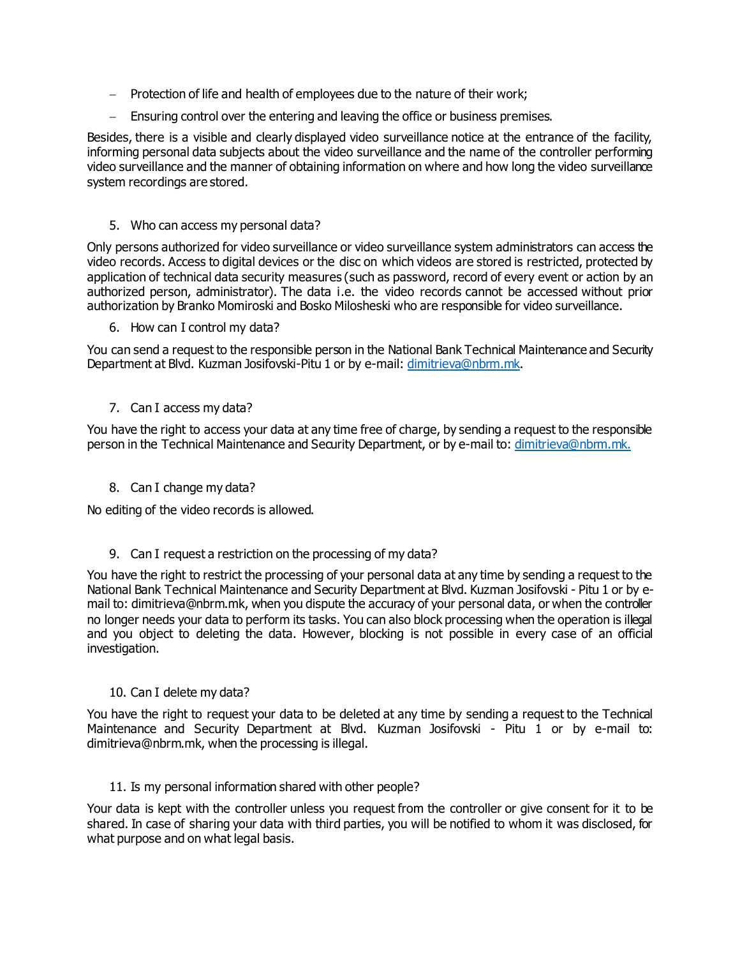- Protection of life and health of employees due to the nature of their work;
- Ensuring control over the entering and leaving the office or business premises.

Besides, there is a visible and clearly displayed video surveillance notice at the entrance of the facility, informing personal data subjects about the video surveillance and the name of the controller performing video surveillance and the manner of obtaining information on where and how long the video surveillance system recordings are stored.

# 5. Who can access my personal data?

Only persons authorized for video surveillance or video surveillance system administrators can access the video records. Access to digital devices or the disc on which videos are stored is restricted, protected by application of technical data security measures (such as password, record of every event or action by an authorized person, administrator). The data i.e. the video records cannot be accessed without prior authorization by Branko Momiroski and Bosko Milosheski who are responsible for video surveillance.

6. How can I control my data?

You can send a request to the responsible person in the National Bank Technical Maintenance and Security Department at Blvd. Kuzman Josifovski-Pitu 1 or by e-mail[: dimitrieva@nbrm.mk](mailto:dimitrieva@nbrm.mk).

# 7. Can I access my data?

You have the right to access your data at any time free of charge, by sending a request to the responsible person in the Technical Maintenance and Security Department, or by e-mail to[: dimitrieva@nbrm.mk](mailto:dimitrieva@nbrm.mk).

8. Can I change my data?

No editing of the video records is allowed.

### 9. Can I request a restriction on the processing of my data?

You have the right to restrict the processing of your personal data at any time by sending a request to the National Bank Technical Maintenance and Security Department at Blvd. Kuzman Josifovski - Pitu 1 or by email to: dimitrieva@nbrm.mk, when you dispute the accuracy of your personal data, or when the controller no longer needs your data to perform its tasks. You can also block processing when the operation is illegal and you object to deleting the data. However, blocking is not possible in every case of an official investigation.

### 10. Can I delete my data?

You have the right to request your data to be deleted at any time by sending a request to the Technical Maintenance and Security Department at Blvd. Kuzman Josifovski - Pitu 1 or by e-mail to: dimitrieva@nbrm.mk, when the processing is illegal.

### 11. Is my personal information shared with other people?

Your data is kept with the controller unless you request from the controller or give consent for it to be shared. In case of sharing your data with third parties, you will be notified to whom it was disclosed, for what purpose and on what legal basis.